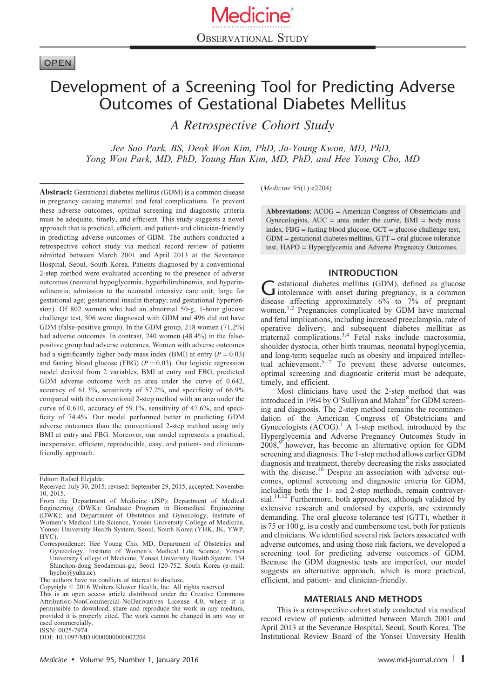# **OPEN**

# Development of a Screening Tool for Predicting Adverse Outcomes of Gestational Diabetes Mellitus

A Retrospective Cohort Study

Jee Soo Park, BS, Deok Won Kim, PhD, Ja-Young Kwon, MD, PhD, Yong Won Park, MD, PhD, Young Han Kim, MD, PhD, and Hee Young Cho, MD

Abstract: Gestational diabetes mellitus (GDM) is a common disease in pregnancy causing maternal and fetal complications. To prevent these adverse outcomes, optimal screening and diagnostic criteria must be adequate, timely, and efficient. This study suggests a novel approach that is practical, efficient, and patient- and clinician-friendly in predicting adverse outcomes of GDM. The authors conducted a retrospective cohort study via medical record review of patients admitted between March 2001 and April 2013 at the Severance Hospital, Seoul, South Korea. Patients diagnosed by a conventional 2-step method were evaluated according to the presence of adverse outcomes (neonatal hypoglycemia, hyperbilirubinemia, and hyperinsulinemia; admission to the neonatal intensive care unit; large for gestational age; gestational insulin therapy; and gestational hypertension). Of 802 women who had an abnormal 50-g, 1-hour glucose challenge test, 306 were diagnosed with GDM and 496 did not have GDM (false-positive group). In the GDM group, 218 women (71.2%) had adverse outcomes. In contrast, 240 women (48.4%) in the falsepositive group had adverse outcomes. Women with adverse outcomes had a significantly higher body mass index (BMI) at entry  $(P = 0.03)$ and fasting blood glucose (FBG) ( $P = 0.03$ ). Our logistic regression model derived from 2 variables, BMI at entry and FBG, predicted GDM adverse outcome with an area under the curve of 0.642, accuracy of 61.3%, sensitivity of 57.2%, and specificity of 66.9% compared with the conventional 2-step method with an area under the curve of 0.610, accuracy of 59.1%, sensitivity of 47.6%, and specificity of 74.4%. Our model performed better in predicting GDM adverse outcomes than the conventional 2-step method using only BMI at entry and FBG. Moreover, our model represents a practical, inexpensive, efficient, reproducible, easy, and patient- and clinicianfriendly approach.

Editor: Rafael Elejalde.

ISSN: 0025-7974

DOI: [10.1097/MD.0000000000002204](http://dx.doi.org/10.1097/MD.0000000000002204)

(Medicine 95(1):e2204)

Abbreviations: ACOG = American Congress of Obstetricians and Gynecologists,  $AUC = area$  under the curve,  $BMI = body$  mass index, FBG = fasting blood glucose, GCT = glucose challenge test, GDM = gestational diabetes mellitus, GTT = oral glucose tolerance test, HAPO = Hyperglycemia and Adverse Pregnancy Outcomes.

## INTRODUCTION

Gestational diabetes mellitus (GDM), defined as glucose<br>intolerance with onset during pregnancy, is a common disease affecting approximately 6% to 7% of pregnant women.<sup>[1,2](#page-3-0)</sup> Pregnancies complicated by GDM have maternal and fetal implications, including increased preeclampsia, rate of operative delivery, and subsequent diabetes mellitus as maternal complications.<sup>[3,4](#page-3-0)</sup> Fetal risks include macrosomia, shoulder dystocia, other birth traumas, neonatal hypoglycemia, and long-term sequelae such as obesity and impaired intellectual achievement.<sup>5-7</sup> To prevent these adverse outcomes, optimal screening and diagnostic criteria must be adequate, timely, and efficient.

Most clinicians have used the 2-step method that was introduced in 1964 by O'Sullivan and Mahan<sup>[8](#page-4-0)</sup> for GDM screening and diagnosis. The 2-step method remains the recommendation of the American Congress of Obstetricians and Gynecologists  $(ACOG)^1$  $(ACOG)^1$  A 1-step method, introduced by the Hyperglycemia and Adverse Pregnancy Outcomes Study in  $2008$ , however, has become an alternative option for GDM screening and diagnosis. The 1-step method allows earlier GDM diagnosis and treatment, thereby decreasing the risks associated with the disease.<sup>[10](#page-4-0)</sup> Despite an association with adverse outcomes, optimal screening and diagnostic criteria for GDM, including both the 1- and 2-step methods, remain controver-sial.<sup>[11,12](#page-4-0)</sup> Furthermore, both approaches, although validated by extensive research and endorsed by experts, are extremely demanding. The oral glucose tolerance test (GTT), whether it is 75 or 100 g, is a costly and cumbersome test, both for patients and clinicians. We identified several risk factors associated with adverse outcomes, and using those risk factors, we developed a screening tool for predicting adverse outcomes of GDM. Because the GDM diagnostic tests are imperfect, our model suggests an alternative approach, which is more practical, efficient, and patient- and clinician-friendly.

## MATERIALS AND METHODS

This is a retrospective cohort study conducted via medical record review of patients admitted between March 2001 and April 2013 at the Severance Hospital, Seoul, South Korea. The Institutional Review Board of the Yonsei University Health

Received: July 30, 2015; revised: September 29, 2015; accepted: November 10, 2015.

From the Department of Medicine (JSP); Department of Medical Engineering (DWK); Graduate Program in Biomedical Engineering (DWK); and Department of Obstetrics and Gynecology, Institute of Women's Medical Life Science, Yonsei University College of Medicine, Yonsei University Health System, Seoul, South Korea (YHK, JK, YWP, HYC).

Correspondence: Hee Young Cho, MD, Department of Obstetrics and Gynecology, Institute of Women's Medical Life Science, Yonsei University College of Medicine, Yonsei University Health System, 134 Shinchon-dong Seodaemun-gu, Seoul 120-752, South Korea (e-mail: [hycho@yuhs.ac](mailto:hycho@yuhs.ac)).

The authors have no conflicts of interest to disclose.

Copyright  $\odot$  2016 Wolters Kluwer Health, Inc. All rights reserved. This is an open access article distributed under the Creative Commons Attribution-NonCommercial-NoDerivatives License 4.0, where it is permissible to download, share and reproduce the work in any medium, provided it is properly cited. The work cannot be changed in any way or used commercially.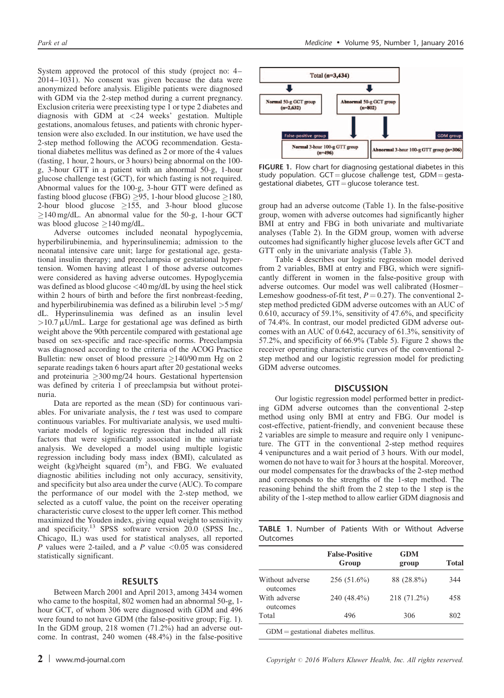System approved the protocol of this study (project no: 4– 2014–1031). No consent was given because the data were anonymized before analysis. Eligible patients were diagnosed with GDM via the 2-step method during a current pregnancy. Exclusion criteria were preexisting type 1 or type 2 diabetes and diagnosis with GDM at <24 weeks' gestation. Multiple gestations, anomalous fetuses, and patients with chronic hypertension were also excluded. In our institution, we have used the 2-step method following the ACOG recommendation. Gestational diabetes mellitus was defined as 2 or more of the 4 values (fasting, 1 hour, 2 hours, or 3 hours) being abnormal on the 100 g, 3-hour GTT in a patient with an abnormal 50-g, 1-hour glucose challenge test (GCT), for which fasting is not required. Abnormal values for the 100-g, 3-hour GTT were defined as fasting blood glucose (FBG)  $>95$ , 1-hour blood glucose  $>180$ , 2-hour blood glucose  $\geq$ 155, and 3-hour blood glucose  $\geq$ 140 mg/dL. An abnormal value for the 50-g, 1-hour GCT was blood glucose  $\geq$ 140 mg/dL.

Adverse outcomes included neonatal hypoglycemia, hyperbilirubinemia, and hyperinsulinemia; admission to the neonatal intensive care unit; large for gestational age, gestational insulin therapy; and preeclampsia or gestational hypertension. Women having atleast 1 of those adverse outcomes were considered as having adverse outcomes. Hypoglycemia was defined as blood glucose <40 mg/dL by using the heel stick within 2 hours of birth and before the first nonbreast-feeding, and hyperbilirubinemia was defined as a bilirubin level >5 mg/ dL. Hyperinsulinemia was defined as an insulin level  $>10.7 \mu$ U/mL. Large for gestational age was defined as birth weight above the 90th percentile compared with gestational age based on sex-specific and race-specific norms. Preeclampsia was diagnosed according to the criteria of the ACOG Practice Bulletin: new onset of blood pressure  $>140/90$  mm Hg on 2 separate readings taken 6 hours apart after 20 gestational weeks and proteinuria  $\geq 300 \text{ mg}/24$  hours. Gestational hypertension was defined by criteria 1 of preeclampsia but without proteinuria.

Data are reported as the mean (SD) for continuous variables. For univariate analysis, the  $t$  test was used to compare continuous variables. For multivariate analysis, we used multivariate models of logistic regression that included all risk factors that were significantly associated in the univariate analysis. We developed a model using multiple logistic regression including body mass index (BMI), calculated as weight  $(kg)/$ height squared  $(m^2)$ , and FBG. We evaluated diagnostic abilities including not only accuracy, sensitivity, and specificity but also area under the curve (AUC). To compare the performance of our model with the 2-step method, we selected as a cutoff value, the point on the receiver operating characteristic curve closest to the upper left corner. This method maximized the Youden index, giving equal weight to sensitivity and specificity.<sup>13</sup> SPSS software version 20.0 (SPSS Inc., Chicago, IL) was used for statistical analyses, all reported P values were 2-tailed, and a P value  $< 0.05$  was considered statistically significant.

## RESULTS

Between March 2001 and April 2013, among 3434 women who came to the hospital, 802 women had an abnormal 50-g, 1 hour GCT, of whom 306 were diagnosed with GDM and 496 were found to not have GDM (the false-positive group; Fig. 1). In the GDM group, 218 women (71.2%) had an adverse outcome. In contrast, 240 women (48.4%) in the false-positive



FIGURE 1. Flow chart for diagnosing gestational diabetes in this study population.  $GCT =$  glucose challenge test,  $GDM =$  gestagestational diabetes,  $GTT =$  glucose tolerance test.

group had an adverse outcome (Table 1). In the false-positive group, women with adverse outcomes had significantly higher BMI at entry and FBG in both univariate and multivariate analyses ([Table 2](#page-2-0)). In the GDM group, women with adverse outcomes had significantly higher glucose levels after GCT and GTT only in the univariate analysis [\(Table 3](#page-2-0)).

[Table 4](#page-3-0) describes our logistic regression model derived from 2 variables, BMI at entry and FBG, which were significantly different in women in the false-positive group with adverse outcomes. Our model was well calibrated (Hosmer– Lemeshow goodness-of-fit test,  $P = 0.27$ ). The conventional 2step method predicted GDM adverse outcomes with an AUC of 0.610, accuracy of 59.1%, sensitivity of 47.6%, and specificity of 74.4%. In contrast, our model predicted GDM adverse outcomes with an AUC of 0.642, accuracy of 61.3%, sensitivity of 57.2%, and specificity of 66.9% [\(Table 5](#page-3-0)). [Figure 2](#page-3-0) shows the receiver operating characteristic curves of the conventional 2 step method and our logistic regression model for predicting GDM adverse outcomes.

#### **DISCUSSION**

Our logistic regression model performed better in predicting GDM adverse outcomes than the conventional 2-step method using only BMI at entry and FBG. Our model is cost-effective, patient-friendly, and convenient because these 2 variables are simple to measure and require only 1 venipuncture. The GTT in the conventional 2-step method requires 4 venipunctures and a wait period of 3 hours. With our model, women do not have to wait for 3 hours at the hospital. Moreover, our model compensates for the drawbacks of the 2-step method and corresponds to the strengths of the 1-step method. The reasoning behind the shift from the 2 step to the 1 step is the ability of the 1-step method to allow earlier GDM diagnosis and

|          | <b>TABLE 1.</b> Number of Patients With or Without Adverse |  |  |  |
|----------|------------------------------------------------------------|--|--|--|
| Outcomes |                                                            |  |  |  |

|                             | <b>False-Positive</b><br>Group | <b>GDM</b><br>group | Total |
|-----------------------------|--------------------------------|---------------------|-------|
| Without adverse<br>outcomes | 256 (51.6%)                    | 88 (28.8%)          | 344   |
| With adverse<br>outcomes    | 240 (48.4%)                    | 218 (71.2%)         | 458   |
| Total                       | 496                            | 306                 | 802   |

2 | www.md-journal.com Copyright # 2016 Wolters Kluwer Health, Inc. All rights reserved.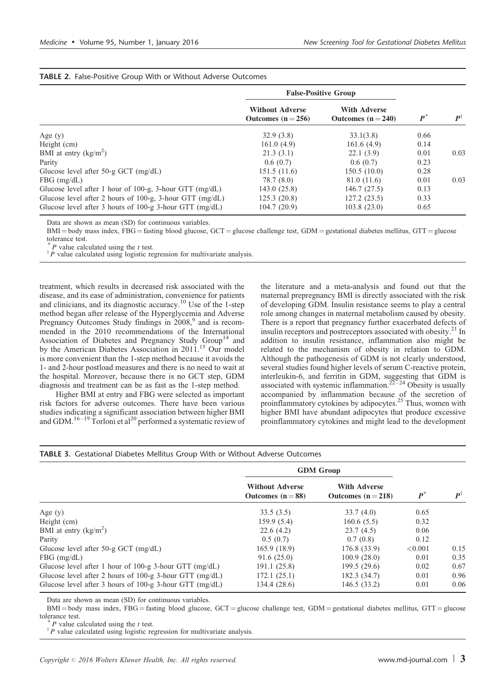|                                                            | <b>False-Positive Group</b>                  |                                           |       |                    |
|------------------------------------------------------------|----------------------------------------------|-------------------------------------------|-------|--------------------|
|                                                            | <b>Without Adverse</b><br>Outcomes $(n=256)$ | <b>With Adverse</b><br>Outcomes $(n=240)$ | $P^*$ | $\bm{P}^{\dagger}$ |
| Age $(y)$                                                  | 32.9(3.8)                                    | 33.1(3.8)                                 | 0.66  |                    |
| Height (cm)                                                | 161.0(4.9)                                   | 161.6(4.9)                                | 0.14  |                    |
| BMI at entry $(kg/m2)$                                     | 21.3(3.1)                                    | 22.1(3.9)                                 | 0.01  | 0.03               |
| Parity                                                     | 0.6(0.7)                                     | 0.6(0.7)                                  | 0.23  |                    |
| Glucose level after $50-g$ GCT (mg/dL)                     | 151.5(11.6)                                  | 150.5(10.0)                               | 0.28  |                    |
| $FBG$ (mg/dL)                                              | 78.7 (8.0)                                   | 81.0 (11.6)                               | 0.01  | 0.03               |
| Glucose level after 1 hour of 100-g, 3-hour GTT $(mg/dL)$  | 143.0(25.8)                                  | 146.7(27.5)                               | 0.13  |                    |
| Glucose level after 2 hours of 100-g, 3-hour GTT $(mg/dL)$ | 125.3(20.8)                                  | 127.2(23.5)                               | 0.33  |                    |
| Glucose level after 3 hours of 100-g 3-hour GTT $(mg/dL)$  | 104.7(20.9)                                  | 103.8(23.0)                               | 0.65  |                    |

# <span id="page-2-0"></span>TABLE 2. False-Positive Group With or Without Adverse Outcomes

Data are shown as mean (SD) for continuous variables.

 $BMI = body$  mass index, FBG = fasting blood glucose, GCT = glucose challenge test, GDM = gestational diabetes mellitus, GTT = glucose tolerance test.

 $P$  value calculated using the  $t$  test.

 $\phi^{\dagger}P$  value calculated using logistic regression for multivariate analysis.

treatment, which results in decreased risk associated with the disease, and its ease of administration, convenience for patients and clinicians, and its diagnostic accuracy.[10](#page-4-0) Use of the 1-step method began after release of the Hyperglycemia and Adverse Pregnancy Outcomes Study findings in 2008,<sup>[9](#page-4-0)</sup> and is recommended in the 2010 recommendations of the International Association of Diabetes and Pregnancy Study Group<sup>[14](#page-4-0)</sup> and by the American Diabetes Association in 2011.<sup>[15](#page-4-0)</sup> Our model is more convenient than the 1-step method because it avoids the 1- and 2-hour postload measures and there is no need to wait at the hospital. Moreover, because there is no GCT step, GDM diagnosis and treatment can be as fast as the 1-step method.

Higher BMI at entry and FBG were selected as important risk factors for adverse outcomes. There have been various studies indicating a significant association between higher BMI and GDM.<sup>[16–19](#page-4-0)</sup> Torloni et al<sup>[20](#page-4-0)</sup> performed a systematic review of the literature and a meta-analysis and found out that the maternal prepregnancy BMI is directly associated with the risk of developing GDM. Insulin resistance seems to play a central role among changes in maternal metabolism caused by obesity. There is a report that pregnancy further exacerbated defects of insulin receptors and postreceptors associated with obesity.<sup>[21](#page-4-0)</sup> In addition to insulin resistance, inflammation also might be related to the mechanism of obesity in relation to GDM. Although the pathogenesis of GDM is not clearly understood, several studies found higher levels of serum C-reactive protein, interleukin-6, and ferritin in GDM, suggesting that GDM is associated with systemic inflammation.<sup>22-24</sup> Obesity is usually accompanied by inflammation because of the secretion of proinflammatory cytokines by adipocytes.<sup>[25](#page-4-0)</sup> Thus, women with higher BMI have abundant adipocytes that produce excessive proinflammatory cytokines and might lead to the development

#### TABLE 3. Gestational Diabetes Mellitus Group With or Without Adverse Outcomes

|                                                           | <b>GDM</b> Group                            |                                           |                    |                    |
|-----------------------------------------------------------|---------------------------------------------|-------------------------------------------|--------------------|--------------------|
|                                                           | <b>Without Adverse</b><br>Outcomes $(n=88)$ | <b>With Adverse</b><br>Outcomes $(n=218)$ | $\boldsymbol{p}^*$ | $\bm{P}^{\dagger}$ |
| Age $(y)$                                                 | 33.5(3.5)                                   | 33.7(4.0)                                 | 0.65               |                    |
| Height (cm)                                               | 159.9(5.4)                                  | 160.6(5.5)                                | 0.32               |                    |
| BMI at entry $(kg/m2)$                                    | 22.6(4.2)                                   | 23.7(4.5)                                 | 0.06               |                    |
| Parity                                                    | 0.5(0.7)                                    | 0.7(0.8)                                  | 0.12               |                    |
| Glucose level after $50-g$ GCT (mg/dL)                    | 165.9 (18.9)                                | 176.8(33.9)                               | ${<}0.001$         | 0.15               |
| $FBG$ (mg/dL)                                             | 91.6(25.0)                                  | 100.9(28.0)                               | 0.01               | 0.35               |
| Glucose level after 1 hour of 100-g 3-hour GTT $(mg/dL)$  | 191.1 (25.8)                                | 199.5(29.6)                               | 0.02               | 0.67               |
| Glucose level after 2 hours of 100-g 3-hour GTT $(mg/dL)$ | 172.1(25.1)                                 | 182.3 (34.7)                              | 0.01               | 0.96               |
| Glucose level after 3 hours of 100-g 3-hour GTT $(mg/dL)$ | 134.4 (28.6)                                | 146.5(33.2)                               | 0.01               | 0.06               |

Data are shown as mean (SD) for continuous variables.

BMI = body mass index, FBG = fasting blood glucose, GCT = glucose challenge test, GDM = gestational diabetes mellitus, GTT = glucose tolerance test.<br>
<sup>\*</sup> *P* value calculated using the *t* test.

 $\phi^{\dagger}P$  value calculated using logistic regression for multivariate analysis.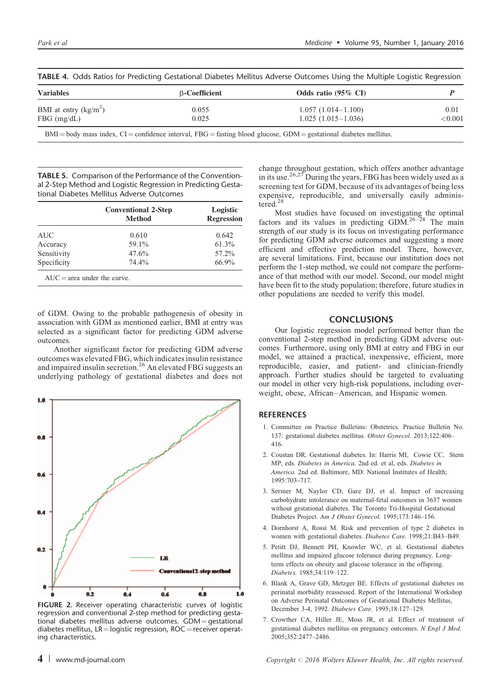| <b>Variables</b>       | <b>B-Coefficient</b> | Odds ratio $(95\% \text{ CI})$                                                                                             |                |  |
|------------------------|----------------------|----------------------------------------------------------------------------------------------------------------------------|----------------|--|
| BMI at entry $(kg/m2)$ | 0.055                | $1.057(1.014-1.100)$                                                                                                       | 0.01           |  |
| $FBG$ (mg/dL)          | 0.025                | $1.025(1.015-1.036)$                                                                                                       | $<$ 0.001 $\,$ |  |
|                        |                      | $BMI = body$ mass index. $CI = confidence$ interval. $FBG =$ fasting blood glucose. $GDM =$ gestational diabetes mellitus. |                |  |

<span id="page-3-0"></span>TABLE 4. Odds Ratios for Predicting Gestational Diabetes Mellitus Adverse Outcomes Using the Multiple Logistic Regression

TABLE 5. Comparison of the Performance of the Conventional 2-Step Method and Logistic Regression in Predicting Gestational Diabetes Mellitus Adverse Outcomes

|                               | <b>Conventional 2-Step</b><br><b>Method</b> | Logistic<br><b>Regression</b> |
|-------------------------------|---------------------------------------------|-------------------------------|
| AUC                           | 0.610                                       | 0.642                         |
| Accuracy                      | 59.1%                                       | 61.3%                         |
| Sensitivity                   | 47.6%                                       | 57.2%                         |
| Specificity                   | 74.4%                                       | 66.9%                         |
| $AUC = area$ under the curve. |                                             |                               |

of GDM. Owing to the probable pathogenesis of obesity in association with GDM as mentioned earlier, BMI at entry was selected as a significant factor for predicting GDM adverse outcomes.

Another significant factor for predicting GDM adverse outcomes was elevated FBG, which indicates insulin resistance and impaired insulin secretion.<sup>[26](#page-4-0)</sup> An elevated FBG suggests an underlying pathology of gestational diabetes and does not



FIGURE 2. Receiver operating characteristic curves of logistic regression and conventional 2-step method for predicting gestational diabetes mellitus adverse outcomes.  $GDM =$  gestational diabetes mellitus,  $LR =$ logistic regression,  $ROC =$ receiver operating characteristics.

change throughout gestation, which offers another advantage in its use.[26,27](#page-4-0) During the years, FBG has been widely used as a screening test for GDM, because of its advantages of being less expensive, reproducible, and universally easily adminis-tered.<sup>[28](#page-4-0)</sup>

Most studies have focused on investigating the optimal factors and its values in predicting GDM.<sup>[26–28](#page-4-0)</sup> The main strength of our study is its focus on investigating performance for predicting GDM adverse outcomes and suggesting a more efficient and effective prediction model. There, however, are several limitations. First, because our institution does not perform the 1-step method, we could not compare the performance of that method with our model. Second, our model might have been fit to the study population; therefore, future studies in other populations are needed to verify this model.

# **CONCLUSIONS**

Our logistic regression model performed better than the conventional 2-step method in predicting GDM adverse outcomes. Furthermore, using only BMI at entry and FBG in our model, we attained a practical, inexpensive, efficient, more reproducible, easier, and patient- and clinician-friendly approach. Further studies should be targeted to evaluating our model in other very high-risk populations, including overweight, obese, African–American, and Hispanic women.

## **REFERENCES**

- 1. Committee on Practice Bulletins: Obstetrics. Practice Bulletin No. 137: gestational diabetes mellitus. Obstet Gynecol. 2013;122:406– 416.
- 2. Coustan DR. Gestational diabetes. In: Harris MI, Cowie CC, Stern MP, eds. Diabetes in America. 2nd ed. et al, eds. Diabetes in America. 2nd ed. Baltimore, MD: National Institutes of Health; 1995:703–717.
- 3. Sermer M, Naylor CD, Gare DJ, et al. Impact of increasing carbohydrate intolerance on maternal-fetal outcomes in 3637 women without gestational diabetes. The Toronto Tri-Hospital Gestational Diabetes Project. Am J Obstet Gynecol. 1995;173:146–156.
- 4. Dornhorst A, Rossi M. Risk and prevention of type 2 diabetes in women with gestational diabetes. Diabetes Care. 1998;21:B43–B49.
- 5. Petitt DJ, Bennett PH, Knowler WC, et al. Gestational diabetes mellitus and impaired glucose tolerance during pregnancy. Longterm effects on obesity and glucose tolerance in the offspring. Diabetes. 1985;34:119–122.
- 6. Blank A, Grave GD, Metzger BE. Effects of gestational diabetes on perinatal morbidity reassessed. Report of the International Workshop on Adverse Perinatal Outcomes of Gestational Diabetes Mellitus, December 3-4, 1992. Diabetes Care. 1995;18:127–129.
- 7. Crowther CA, Hiller JE, Moss JR, et al. Effect of treatment of gestational diabetes mellitus on pregnancy outcomes. N Engl J Med. 2005;352:2477–2486.